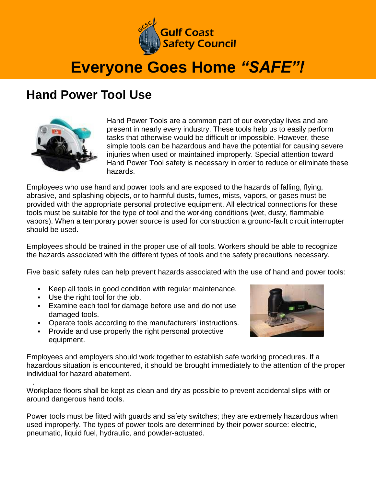

## **Everyone Goes Home** *"SAFE"!*

## **Hand Power Tool Use**



Hand Power Tools are a common part of our everyday lives and are present in nearly every industry. These tools help us to easily perform tasks that otherwise would be difficult or impossible. However, these simple tools can be hazardous and have the potential for causing severe injuries when used or maintained improperly. Special attention toward Hand Power Tool safety is necessary in order to reduce or eliminate these hazards.

Employees who use hand and power tools and are exposed to the hazards of falling, flying, abrasive, and splashing objects, or to harmful dusts, fumes, mists, vapors, or gases must be provided with the appropriate personal protective equipment. All electrical connections for these tools must be suitable for the type of tool and the working conditions (wet, dusty, flammable vapors). When a temporary power source is used for construction a ground-fault circuit interrupter should be used.

Employees should be trained in the proper use of all tools. Workers should be able to recognize the hazards associated with the different types of tools and the safety precautions necessary.

Five basic safety rules can help prevent hazards associated with the use of hand and power tools:

- Keep all tools in good condition with regular maintenance.
- Use the right tool for the job.

.

- Examine each tool for damage before use and do not use damaged tools.
- Operate tools according to the manufacturers' instructions.
- **Provide and use properly the right personal protective** equipment.



Employees and employers should work together to establish safe working procedures. If a hazardous situation is encountered, it should be brought immediately to the attention of the proper individual for hazard abatement.

Workplace floors shall be kept as clean and dry as possible to prevent accidental slips with or around dangerous hand tools.

Power tools must be fitted with guards and safety switches; they are extremely hazardous when used improperly. The types of power tools are determined by their power source: electric, pneumatic, liquid fuel, hydraulic, and powder-actuated.